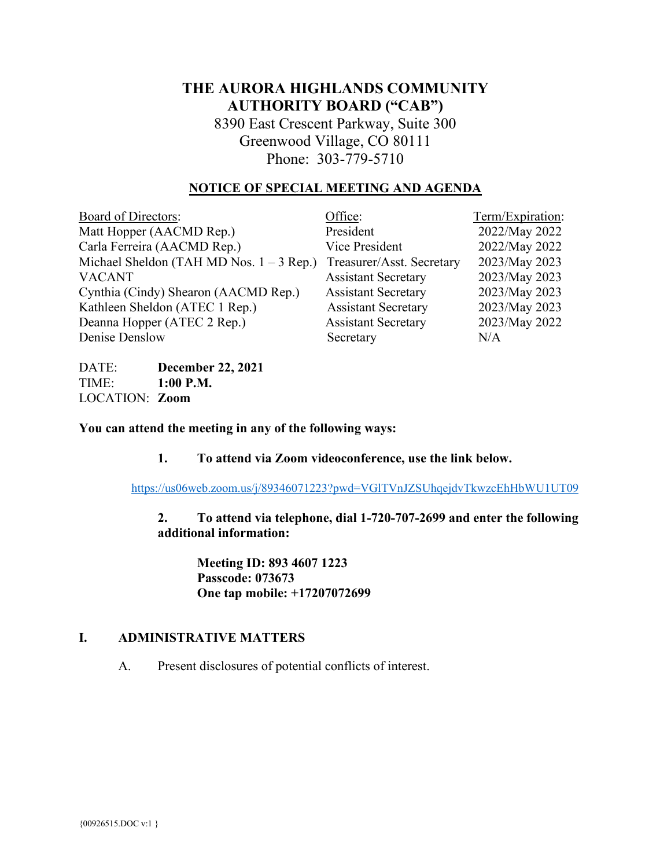# **THE AURORA HIGHLANDS COMMUNITY AUTHORITY BOARD ("CAB")**

8390 East Crescent Parkway, Suite 300 Greenwood Village, CO 80111 Phone: 303-779-5710

## **NOTICE OF SPECIAL MEETING AND AGENDA**

| Office:                    | Term/Expiration: |
|----------------------------|------------------|
| President                  | 2022/May 2022    |
| Vice President             | 2022/May 2022    |
| Treasurer/Asst. Secretary  | 2023/May 2023    |
| <b>Assistant Secretary</b> | 2023/May 2023    |
| <b>Assistant Secretary</b> | 2023/May 2023    |
| <b>Assistant Secretary</b> | 2023/May 2023    |
| <b>Assistant Secretary</b> | 2023/May 2022    |
| Secretary                  | N/A              |
|                            |                  |

DATE: **December 22, 2021** TIME: **1:00 P.M.** LOCATION: **Zoom**

**You can attend the meeting in any of the following ways:**

**1. To attend via Zoom videoconference, use the link below.**

https://us06web.zoom.us/j/89346071223?pwd=VGlTVnJZSUhqejdvTkwzcEhHbWU1UT09

**2. To attend via telephone, dial 1-720-707-2699 and enter the following additional information:**

**Meeting ID: 893 4607 1223 Passcode: 073673 One tap mobile: +17207072699**

### **I. ADMINISTRATIVE MATTERS**

A. Present disclosures of potential conflicts of interest.